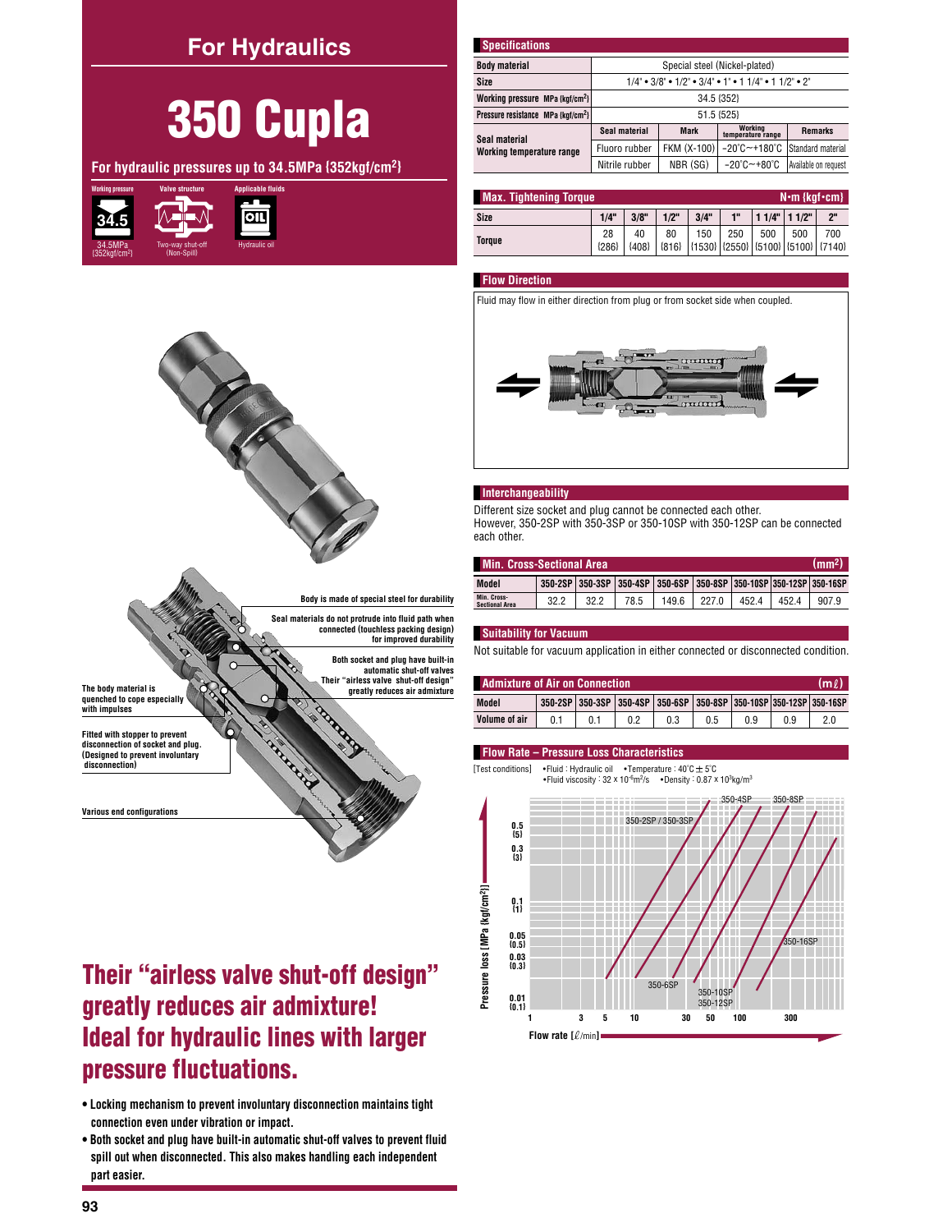## **For Hydraulics**

# 350 Cupla

For hydraulic pressures up to 34.5MPa {352kgf/cm<sup>2}</sup>





Body is made of special steel for durability Seal materials do not protrude into fluid nath when connected (touchless packing design)

for improved durability

Both socket and plug have built-in<br>automatic shut-off valves Their "airless valve shut-off design"

greatly reduces air admixture

| <b>Specifications</b>                          |                                                                                                                  |             |                                       |                      |  |  |  |  |  |
|------------------------------------------------|------------------------------------------------------------------------------------------------------------------|-------------|---------------------------------------|----------------------|--|--|--|--|--|
| <b>Body material</b>                           | Special steel (Nickel-plated)                                                                                    |             |                                       |                      |  |  |  |  |  |
| Size                                           | $1/4$ " $\bullet$ 3/8" $\bullet$ 1/2" $\bullet$ 3/4" $\bullet$ 1" $\bullet$ 1 1/4" $\bullet$ 1 1/2" $\bullet$ 2" |             |                                       |                      |  |  |  |  |  |
| Working pressure MPa {kgf/cm <sup>2</sup> }    | 34.5 {352}                                                                                                       |             |                                       |                      |  |  |  |  |  |
| Pressure resistance MPa {kqf/cm <sup>2</sup> } | 51.5 {525}                                                                                                       |             |                                       |                      |  |  |  |  |  |
| Seal material                                  | Seal material                                                                                                    | Mark        | Working<br>temperature range          | <b>Remarks</b>       |  |  |  |  |  |
| Working temperature range                      | Fluoro rubber                                                                                                    | FKM (X-100) | $-20^{\circ}$ C $-$ +180 $^{\circ}$ C | Standard material    |  |  |  |  |  |
|                                                | Nitrile rubber                                                                                                   | NBR (SG)    | $-20^{\circ}$ C $-+80^{\circ}$ C      | Available on request |  |  |  |  |  |

| <b>Max. Tightening Torque</b><br>$N \cdot m$ {kgf $\cdot$ cm} |               |               |         |                                                                          |     |     |                 |     |  |  |
|---------------------------------------------------------------|---------------|---------------|---------|--------------------------------------------------------------------------|-----|-----|-----------------|-----|--|--|
| Size                                                          | 1/4"          | 3/8"          | $1/2$ " | 3/4"                                                                     | 1"  |     | $11/4"$ $11/2"$ | 2"  |  |  |
| <b>Toraue</b>                                                 | 28<br>${286}$ | 40<br>${408}$ | 80      | 150<br>{816} $\left  \{ 1530 \} \right  \{ 2550 \}$ (5100} (5100} (7140} | 250 | 500 | 500             | 700 |  |  |

#### **Flow Direction**

Fluid may flow in either direction from plug or from socket side when coupled.



#### Interchangeability

Different size socket and plug cannot be connected each other. However, 350-2SP with 350-3SP or 350-10SP with 350-12SP can be connected each other.

| Min. Cross-Sectional Area.<br>(mm <sup>2</sup> |      |     |      |                                                                    |       |       |      |       |  |  |
|------------------------------------------------|------|-----|------|--------------------------------------------------------------------|-------|-------|------|-------|--|--|
| Model                                          |      |     |      | 350-2SP 350-3SP 350-4SP 350-6SP 350-8SP 350-10SP 350-12SP 350-16SP |       |       |      |       |  |  |
| Min. Cross-<br><b>Sectional Area</b>           | 32.2 | 322 | 78.5 | 149.6                                                              | 227.0 | 452.4 | 4524 | 907.9 |  |  |

#### **Suitability for Vacuum**

Not suitable for vacuum application in either connected or disconnected condition.

| <b>Admixture of Air on Connection</b><br>lm l |     |  |  |                                                                    |     |     |  |  |  |  |
|-----------------------------------------------|-----|--|--|--------------------------------------------------------------------|-----|-----|--|--|--|--|
| Model                                         |     |  |  | 350-2SP 350-3SP 350-4SP 350-6SP 350-8SP 350-10SP 350-12SP 350-16SP |     |     |  |  |  |  |
| Volume of air                                 | 0.1 |  |  |                                                                    | 0.5 | 0.9 |  |  |  |  |

#### Flow Rate - Pressure Loss Characteristics

[Test conditions] • Fluid : Hydraulic oil • Temperature :  $40^{\circ}$ C  $\pm$  5 $^{\circ}$ C . Fluid viscosity :  $32 \times 10^{-6}$  m<sup>2</sup>/s • Density :  $0.87 \times 10^{3}$  kg/m<sup>3</sup>



The body material is quenched to cope especially with impulses

Fitted with stopper to prevent disconnection of socket and plug (Designed to prevent involuntary disconnection)

Various end configurations

## Their "airless valve shut-off design" greatly reduces air admixture! **Ideal for hydraulic lines with larger** pressure fluctuations.

• Locking mechanism to prevent involuntary disconnection maintains tight connection even under vibration or impact.

. Both socket and plug have built-in automatic shut-off valves to prevent fluid spill out when disconnected. This also makes handling each independent part easier.